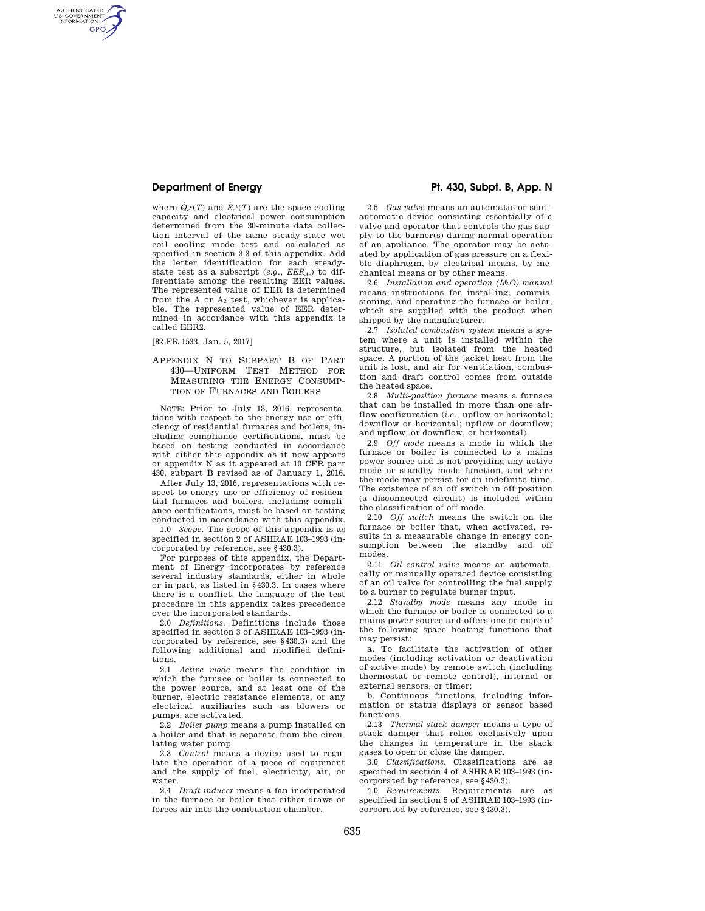AUTHENTICATED<br>U.S. GOVERNMENT<br>INFORMATION **GPO** 

> where  $\dot{Q}_c{}^k(T)$  and  $\dot{E}_c{}^k(T)$  are the space cooling capacity and electrical power consumption determined from the 30-minute data collection interval of the same steady-state wet coil cooling mode test and calculated as specified in section 3.3 of this appendix. Add the letter identification for each steadystate test as a subscript (*e.g., EERA*2) to differentiate among the resulting EER values. The represented value of EER is determined from the A or  $A_2$  test, whichever is applicable. The represented value of EER determined in accordance with this appendix is called EER2.

[82 FR 1533, Jan. 5, 2017]

### APPENDIX N TO SUBPART B OF PART 430—UNIFORM TEST METHOD FOR MEASURING THE ENERGY CONSUMP-TION OF FURNACES AND BOILERS

NOTE: Prior to July 13, 2016, representations with respect to the energy use or efficiency of residential furnaces and boilers, including compliance certifications, must be based on testing conducted in accordance with either this appendix as it now appears or appendix N as it appeared at 10 CFR part 430, subpart B revised as of January 1, 2016.

After July 13, 2016, representations with respect to energy use or efficiency of residential furnaces and boilers, including compliance certifications, must be based on testing conducted in accordance with this appendix.

1.0 *Scope.* The scope of this appendix is as specified in section 2 of ASHRAE 103–1993 (incorporated by reference, see §430.3).

For purposes of this appendix, the Department of Energy incorporates by reference several industry standards, either in whole or in part, as listed in §430.3. In cases where there is a conflict, the language of the test procedure in this appendix takes precedence over the incorporated standards.

2.0 *Definitions.* Definitions include those specified in section 3 of ASHRAE 103–1993 (incorporated by reference, see §430.3) and the following additional and modified definitions.

2.1 *Active mode* means the condition in which the furnace or boiler is connected to the power source, and at least one of the burner, electric resistance elements, or any electrical auxiliaries such as blowers or pumps, are activated.

2.2 *Boiler pump* means a pump installed on a boiler and that is separate from the circulating water pump.

2.3 *Control* means a device used to regulate the operation of a piece of equipment and the supply of fuel, electricity, air, or water.

2.4 *Draft inducer* means a fan incorporated in the furnace or boiler that either draws or forces air into the combustion chamber.

# **Department of Energy Pt. 430, Subpt. B, App. N**

2.5 *Gas valve* means an automatic or semiautomatic device consisting essentially of a valve and operator that controls the gas supply to the burner(s) during normal operation of an appliance. The operator may be actuated by application of gas pressure on a flexible diaphragm, by electrical means, by mechanical means or by other means.

2.6 *Installation and operation (I&O) manual*  means instructions for installing, commissioning, and operating the furnace or boiler, which are supplied with the product when shipped by the manufacturer.

2.7 *Isolated combustion system* means a system where a unit is installed within the structure, but isolated from the heated space. A portion of the jacket heat from the unit is lost, and air for ventilation, combustion and draft control comes from outside the heated space.

2.8 *Multi-position furnace* means a furnace that can be installed in more than one airflow configuration (*i.e.*, upflow or horizontal; downflow or horizontal; upflow or downflow; and upflow, or downflow, or horizontal).

2.9 *Off mode* means a mode in which the furnace or boiler is connected to a mains power source and is not providing any active mode or standby mode function, and where the mode may persist for an indefinite time. The existence of an off switch in off position (a disconnected circuit) is included within the classification of off mode.

2.10 *Off switch* means the switch on the furnace or boiler that, when activated, results in a measurable change in energy consumption between the standby and off modes.

2.11 *Oil control valve* means an automatically or manually operated device consisting of an oil valve for controlling the fuel supply to a burner to regulate burner input.

2.12 *Standby mode* means any mode in which the furnace or boiler is connected to a mains power source and offers one or more of the following space heating functions that may persist:

a. To facilitate the activation of other modes (including activation or deactivation of active mode) by remote switch (including thermostat or remote control), internal or external sensors, or timer;

b. Continuous functions, including information or status displays or sensor based functions.

2.13 *Thermal stack damper* means a type of stack damper that relies exclusively upon the changes in temperature in the stack gases to open or close the damper.

3.0 *Classifications.* Classifications are as specified in section 4 of ASHRAE 103–1993 (incorporated by reference, see §430.3).

4.0 *Requirements.* Requirements are as specified in section 5 of ASHRAE 103–1993 (incorporated by reference, see §430.3).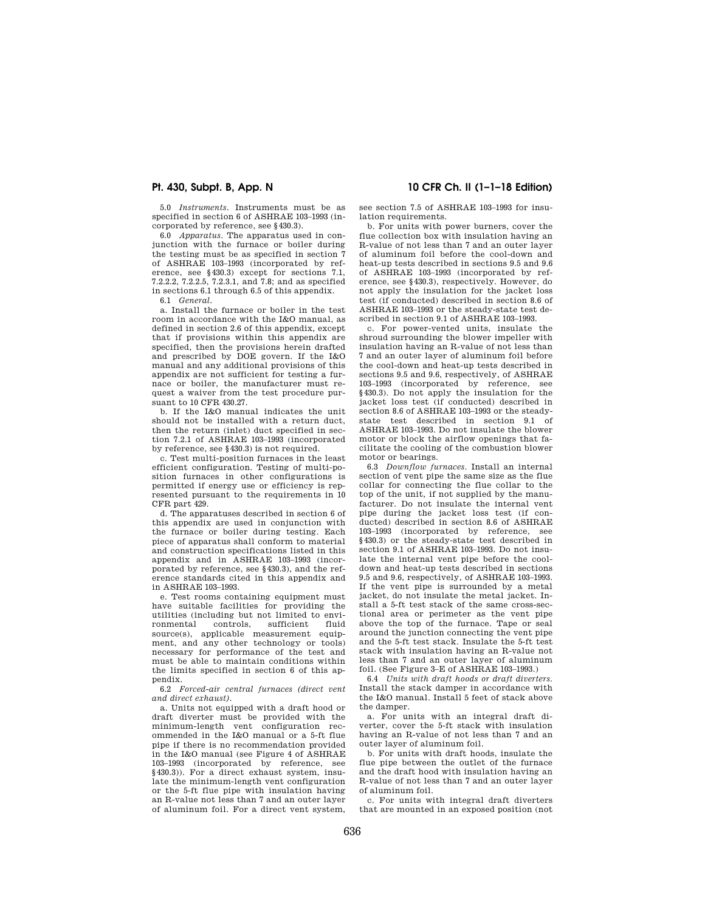5.0 *Instruments.* Instruments must be as specified in section 6 of ASHRAE 103–1993 (incorporated by reference, see §430.3).

6.0 *Apparatus.* The apparatus used in conjunction with the furnace or boiler during the testing must be as specified in section 7 of ASHRAE 103–1993 (incorporated by reference, see §430.3) except for sections 7.1, 7.2.2.2, 7.2.2.5, 7.2.3.1, and 7.8; and as specified in sections 6.1 through 6.5 of this appendix.

6.1 *General.* 

a. Install the furnace or boiler in the test room in accordance with the I&O manual, as defined in section 2.6 of this appendix, except that if provisions within this appendix are specified, then the provisions herein drafted and prescribed by DOE govern. If the I&O manual and any additional provisions of this appendix are not sufficient for testing a furnace or boiler, the manufacturer must request a waiver from the test procedure pursuant to 10 CFR 430.27.

b. If the I&O manual indicates the unit should not be installed with a return duct, then the return (inlet) duct specified in section 7.2.1 of ASHRAE 103–1993 (incorporated by reference, see §430.3) is not required.

c. Test multi-position furnaces in the least efficient configuration. Testing of multi-position furnaces in other configurations is permitted if energy use or efficiency is represented pursuant to the requirements in 10 CFR part 429.

d. The apparatuses described in section 6 of this appendix are used in conjunction with the furnace or boiler during testing. Each piece of apparatus shall conform to material and construction specifications listed in this appendix and in ASHRAE 103–1993 (incorporated by reference, see §430.3), and the reference standards cited in this appendix and in ASHRAE 103–1993.

e. Test rooms containing equipment must have suitable facilities for providing the utilities (including but not limited to envi-<br>ronmental controls, sufficient fluid sufficient source(s), applicable measurement equipment, and any other technology or tools) necessary for performance of the test and must be able to maintain conditions within the limits specified in section 6 of this appendix.

6.2 *Forced-air central furnaces (direct vent and direct exhaust).* 

a. Units not equipped with a draft hood or draft diverter must be provided with the minimum-length vent configuration recommended in the I&O manual or a 5-ft flue pipe if there is no recommendation provided in the I&O manual (see Figure 4 of ASHRAE 103–1993 (incorporated by reference, see §430.3)). For a direct exhaust system, insulate the minimum-length vent configuration or the 5-ft flue pipe with insulation having an R-value not less than 7 and an outer layer of aluminum foil. For a direct vent system,

**Pt. 430, Subpt. B, App. N 10 CFR Ch. II (1–1–18 Edition)** 

see section 7.5 of ASHRAE 103–1993 for insulation requirements.

b. For units with power burners, cover the flue collection box with insulation having an R-value of not less than 7 and an outer layer of aluminum foil before the cool-down and heat-up tests described in sections 9.5 and 9.6 of ASHRAE 103–1993 (incorporated by reference, see §430.3), respectively. However, do not apply the insulation for the jacket loss test (if conducted) described in section 8.6 of ASHRAE 103–1993 or the steady-state test described in section 9.1 of ASHRAE 103–1993.

c. For power-vented units, insulate the shroud surrounding the blower impeller with insulation having an R-value of not less than 7 and an outer layer of aluminum foil before the cool-down and heat-up tests described in sections 9.5 and 9.6, respectively, of ASHRAE 103–1993 (incorporated by reference, see §430.3). Do not apply the insulation for the jacket loss test (if conducted) described in section 8.6 of ASHRAE 103–1993 or the steadystate test described in section 9.1 of ASHRAE 103–1993. Do not insulate the blower motor or block the airflow openings that facilitate the cooling of the combustion blower motor or bearings.

6.3 *Downflow furnaces.* Install an internal section of vent pipe the same size as the flue collar for connecting the flue collar to the top of the unit, if not supplied by the manufacturer. Do not insulate the internal vent pipe during the jacket loss test (if conducted) described in section 8.6 of ASHRAE 103–1993 (incorporated by reference, see §430.3) or the steady-state test described in section 9.1 of ASHRAE 103–1993. Do not insulate the internal vent pipe before the cooldown and heat-up tests described in sections 9.5 and 9.6, respectively, of ASHRAE 103–1993. If the vent pipe is surrounded by a metal jacket, do not insulate the metal jacket. Install a 5-ft test stack of the same cross-sectional area or perimeter as the vent pipe above the top of the furnace. Tape or seal around the junction connecting the vent pipe and the 5-ft test stack. Insulate the 5-ft test stack with insulation having an R-value not less than 7 and an outer layer of aluminum foil. (See Figure 3–E of ASHRAE 103–1993.)

6.4 *Units with draft hoods or draft diverters.*  Install the stack damper in accordance with the I&O manual. Install 5 feet of stack above the damper.

a. For units with an integral draft diverter, cover the 5-ft stack with insulation having an R-value of not less than 7 and an outer layer of aluminum foil.

b. For units with draft hoods, insulate the flue pipe between the outlet of the furnace and the draft hood with insulation having an R-value of not less than 7 and an outer layer of aluminum foil.

c. For units with integral draft diverters that are mounted in an exposed position (not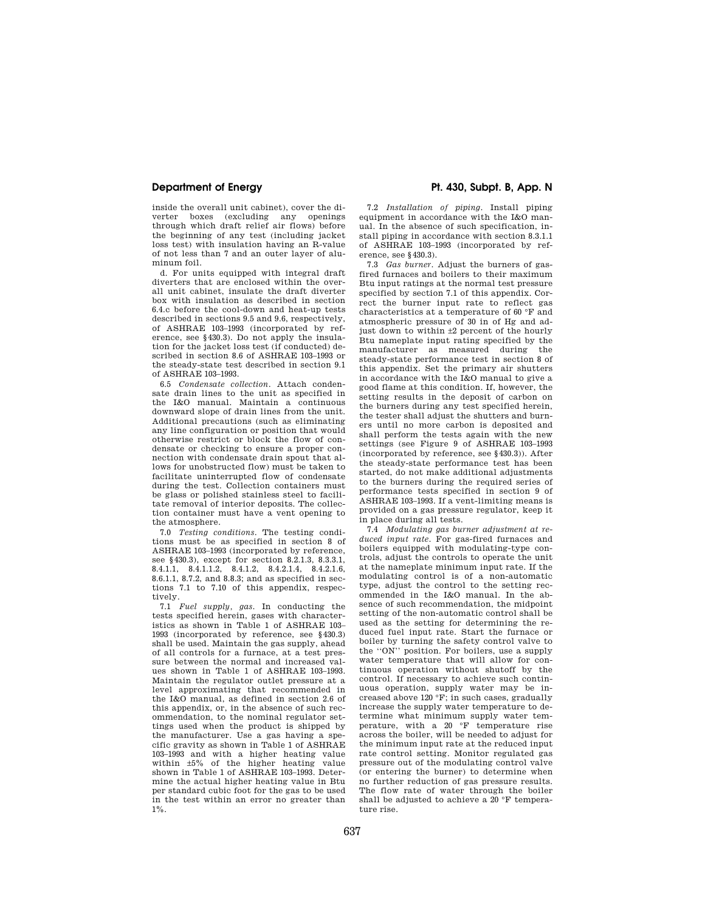inside the overall unit cabinet), cover the diverter boxes (excluding any openings through which draft relief air flows) before the beginning of any test (including jacket loss test) with insulation having an R-value of not less than 7 and an outer layer of aluminum foil.

d. For units equipped with integral draft diverters that are enclosed within the overall unit cabinet, insulate the draft diverter box with insulation as described in section 6.4.c before the cool-down and heat-up tests described in sections 9.5 and 9.6, respectively, of ASHRAE 103–1993 (incorporated by reference, see §430.3). Do not apply the insulation for the jacket loss test (if conducted) described in section 8.6 of ASHRAE 103–1993 or the steady-state test described in section 9.1 of ASHRAE 103–1993.

6.5 *Condensate collection.* Attach condensate drain lines to the unit as specified in the I&O manual. Maintain a continuous downward slope of drain lines from the unit. Additional precautions (such as eliminating any line configuration or position that would otherwise restrict or block the flow of condensate or checking to ensure a proper connection with condensate drain spout that allows for unobstructed flow) must be taken to facilitate uninterrupted flow of condensate during the test. Collection containers must be glass or polished stainless steel to facilitate removal of interior deposits. The collection container must have a vent opening to the atmosphere.

7.0 *Testing conditions.* The testing conditions must be as specified in section 8 of ASHRAE 103–1993 (incorporated by reference, see §430.3), except for section 8.2.1.3, 8.3.3.1, 8.4.1.1. 8.4.1.1.2, 8.4.2.1.4, 8.4.2.1.6 8.6.1.1, 8.7.2, and 8.8.3; and as specified in sections 7.1 to 7.10 of this appendix, respectively.

7.1 *Fuel supply, gas.* In conducting the tests specified herein, gases with characteristics as shown in Table 1 of ASHRAE 103– 1993 (incorporated by reference, see §430.3) shall be used. Maintain the gas supply, ahead of all controls for a furnace, at a test pressure between the normal and increased values shown in Table 1 of ASHRAE 103–1993. Maintain the regulator outlet pressure at a level approximating that recommended in the I&O manual, as defined in section 2.6 of this appendix, or, in the absence of such recommendation, to the nominal regulator settings used when the product is shipped by the manufacturer. Use a gas having a specific gravity as shown in Table 1 of ASHRAE 103–1993 and with a higher heating value within  $\pm 5\%$  of the higher heating value shown in Table 1 of ASHRAE 103–1993. Determine the actual higher heating value in Btu per standard cubic foot for the gas to be used in the test within an error no greater than  $1\%$ 

# **Department of Energy Pt. 430, Subpt. B, App. N**

7.2 *Installation of piping.* Install piping equipment in accordance with the I&O manual. In the absence of such specification, install piping in accordance with section 8.3.1.1 of ASHRAE 103–1993 (incorporated by reference, see §430.3).

7.3 *Gas burner.* Adjust the burners of gasfired furnaces and boilers to their maximum Btu input ratings at the normal test pressure specified by section 7.1 of this appendix. Correct the burner input rate to reflect gas characteristics at a temperature of 60 °F and atmospheric pressure of 30 in of Hg and adjust down to within ±2 percent of the hourly Btu nameplate input rating specified by the manufacturer as measured during the steady-state performance test in section 8 of this appendix. Set the primary air shutters in accordance with the I&O manual to give a good flame at this condition. If, however, the setting results in the deposit of carbon on the burners during any test specified herein, the tester shall adjust the shutters and burners until no more carbon is deposited and shall perform the tests again with the new settings (see Figure 9 of ASHRAE 103–1993 (incorporated by reference, see §430.3)). After the steady-state performance test has been started, do not make additional adjustments to the burners during the required series of performance tests specified in section 9 of ASHRAE 103–1993. If a vent-limiting means is provided on a gas pressure regulator, keep it in place during all tests.

7.4 *Modulating gas burner adjustment at reduced input rate.* For gas-fired furnaces and boilers equipped with modulating-type controls, adjust the controls to operate the unit at the nameplate minimum input rate. If the modulating control is of a non-automatic type, adjust the control to the setting recommended in the I&O manual. In the absence of such recommendation, the midpoint setting of the non-automatic control shall be used as the setting for determining the reduced fuel input rate. Start the furnace or boiler by turning the safety control valve to the ''ON'' position. For boilers, use a supply water temperature that will allow for continuous operation without shutoff by the control. If necessary to achieve such continuous operation, supply water may be increased above 120 °F; in such cases, gradually increase the supply water temperature to determine what minimum supply water temperature, with a 20 °F temperature rise across the boiler, will be needed to adjust for the minimum input rate at the reduced input rate control setting. Monitor regulated gas pressure out of the modulating control valve (or entering the burner) to determine when no further reduction of gas pressure results. The flow rate of water through the boiler shall be adjusted to achieve a 20 °F temperature rise.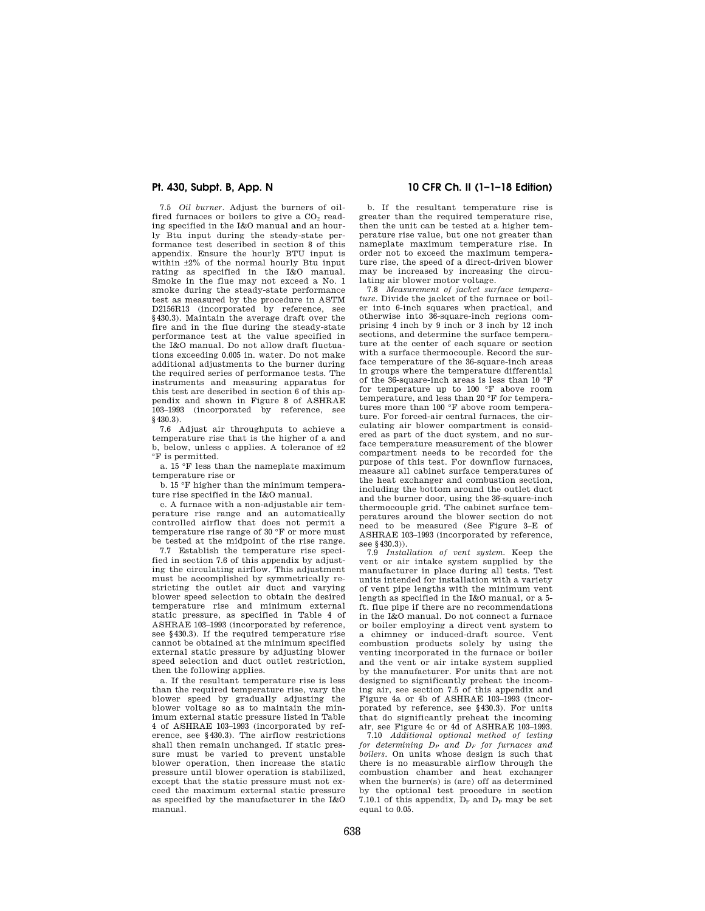7.5 *Oil burner.* Adjust the burners of oilfired furnaces or boilers to give a  $CO<sub>2</sub>$  reading specified in the I&O manual and an hourly Btu input during the steady-state performance test described in section 8 of this appendix. Ensure the hourly BTU input is within ±2% of the normal hourly Btu input rating as specified in the I&O manual. Smoke in the flue may not exceed a No. 1 smoke during the steady-state performance test as measured by the procedure in ASTM D2156R13 (incorporated by reference, see §430.3). Maintain the average draft over the fire and in the flue during the steady-state performance test at the value specified in the I&O manual. Do not allow draft fluctuations exceeding 0.005 in. water. Do not make additional adjustments to the burner during the required series of performance tests. The instruments and measuring apparatus for this test are described in section 6 of this appendix and shown in Figure 8 of ASHRAE 103–1993 (incorporated by reference, see §430.3).

7.6 Adjust air throughputs to achieve a temperature rise that is the higher of a and b, below, unless c applies. A tolerance of  $\pm 2$ °F is permitted.

a. 15 °F less than the nameplate maximum temperature rise or

b. 15 °F higher than the minimum temperature rise specified in the I&O manual.

c. A furnace with a non-adjustable air temperature rise range and an automatically controlled airflow that does not permit a temperature rise range of 30 °F or more must be tested at the midpoint of the rise range.

7.7 Establish the temperature rise specified in section 7.6 of this appendix by adjusting the circulating airflow. This adjustment must be accomplished by symmetrically restricting the outlet air duct and varying blower speed selection to obtain the desired temperature rise and minimum external static pressure, as specified in Table 4 of ASHRAE 103–1993 (incorporated by reference, see §430.3). If the required temperature rise cannot be obtained at the minimum specified external static pressure by adjusting blower speed selection and duct outlet restriction, then the following applies.

a. If the resultant temperature rise is less than the required temperature rise, vary the blower speed by gradually adjusting the blower voltage so as to maintain the minimum external static pressure listed in Table 4 of ASHRAE 103–1993 (incorporated by reference, see §430.3). The airflow restrictions shall then remain unchanged. If static pressure must be varied to prevent unstable blower operation, then increase the static pressure until blower operation is stabilized, except that the static pressure must not exceed the maximum external static pressure as specified by the manufacturer in the I&O manual.

# **Pt. 430, Subpt. B, App. N 10 CFR Ch. II (1–1–18 Edition)**

b. If the resultant temperature rise is greater than the required temperature rise, then the unit can be tested at a higher temperature rise value, but one not greater than nameplate maximum temperature rise. In order not to exceed the maximum temperature rise, the speed of a direct-driven blower may be increased by increasing the circulating air blower motor voltage.

7.8 *Measurement of jacket surface temperature.* Divide the jacket of the furnace or boiler into 6-inch squares when practical, and otherwise into 36-square-inch regions comprising 4 inch by 9 inch or 3 inch by 12 inch sections, and determine the surface temperature at the center of each square or section with a surface thermocouple. Record the surface temperature of the 36-square-inch areas in groups where the temperature differential of the 36-square-inch areas is less than 10 °F for temperature up to 100 °F above room temperature, and less than 20 °F for temperatures more than 100 °F above room temperature. For forced-air central furnaces, the circulating air blower compartment is considered as part of the duct system, and no surface temperature measurement of the blower compartment needs to be recorded for the purpose of this test. For downflow furnaces, measure all cabinet surface temperatures of the heat exchanger and combustion section, including the bottom around the outlet duct and the burner door, using the 36-square-inch thermocouple grid. The cabinet surface temperatures around the blower section do not need to be measured (See Figure 3–E of ASHRAE 103–1993 (incorporated by reference, see §430.3)).

7.9 *Installation of vent system.* Keep the vent or air intake system supplied by the manufacturer in place during all tests. Test units intended for installation with a variety of vent pipe lengths with the minimum vent length as specified in the I&O manual, or a 5 ft. flue pipe if there are no recommendations in the I&O manual. Do not connect a furnace or boiler employing a direct vent system to a chimney or induced-draft source. Vent combustion products solely by using the venting incorporated in the furnace or boiler and the vent or air intake system supplied by the manufacturer. For units that are not designed to significantly preheat the incoming air, see section 7.5 of this appendix and Figure 4a or 4b of ASHRAE 103–1993 (incorporated by reference, see §430.3). For units that do significantly preheat the incoming air, see Figure 4c or 4d of ASHRAE 103–1993.

7.10 *Additional optional method of testing for determining D<sup>P</sup> and D<sup>F</sup> for furnaces and boilers.* On units whose design is such that there is no measurable airflow through the combustion chamber and heat exchanger when the burner(s) is (are) off as determined by the optional test procedure in section 7.10.1 of this appendix,  $D_F$  and  $D_P$  may be set equal to 0.05.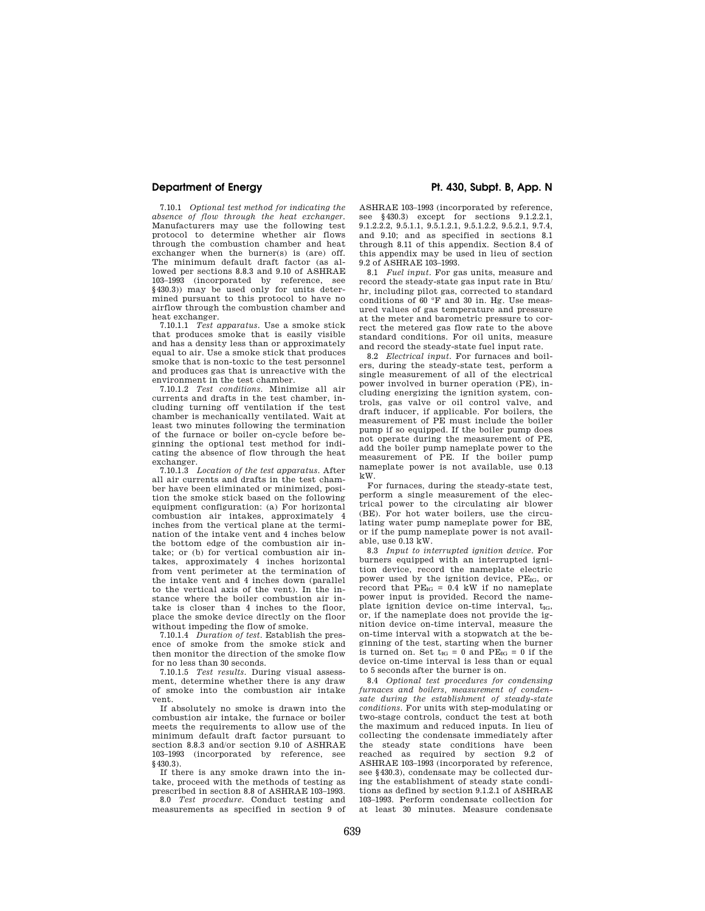7.10.1 *Optional test method for indicating the absence of flow through the heat exchanger.*  Manufacturers may use the following test protocol to determine whether air flows through the combustion chamber and heat exchanger when the burner(s) is (are) off. The minimum default draft factor (as allowed per sections 8.8.3 and 9.10 of ASHRAE 103–1993 (incorporated by reference, see §430.3)) may be used only for units determined pursuant to this protocol to have no airflow through the combustion chamber and heat exchanger.

7.10.1.1 *Test apparatus.* Use a smoke stick that produces smoke that is easily visible and has a density less than or approximately equal to air. Use a smoke stick that produces smoke that is non-toxic to the test personnel and produces gas that is unreactive with the environment in the test chamber.

7.10.1.2 *Test conditions.* Minimize all air currents and drafts in the test chamber, including turning off ventilation if the test chamber is mechanically ventilated. Wait at least two minutes following the termination of the furnace or boiler on-cycle before beginning the optional test method for indicating the absence of flow through the heat exchanger.

7.10.1.3 *Location of the test apparatus.* After all air currents and drafts in the test chamber have been eliminated or minimized, position the smoke stick based on the following equipment configuration: (a) For horizontal combustion air intakes, approximately 4 inches from the vertical plane at the termination of the intake vent and 4 inches below the bottom edge of the combustion air intake; or (b) for vertical combustion air intakes, approximately 4 inches horizontal from vent perimeter at the termination of the intake vent and 4 inches down (parallel to the vertical axis of the vent). In the instance where the boiler combustion air intake is closer than 4 inches to the floor, place the smoke device directly on the floor without impeding the flow of smoke.

7.10.1.4 *Duration of test.* Establish the presence of smoke from the smoke stick and then monitor the direction of the smoke flow for no less than 30 seconds.

7.10.1.5 *Test results.* During visual assessment, determine whether there is any draw of smoke into the combustion air intake vent.

If absolutely no smoke is drawn into the combustion air intake, the furnace or boiler meets the requirements to allow use of the minimum default draft factor pursuant to section 8.8.3 and/or section 9.10 of ASHRAE 103–1993 (incorporated by reference, see §430.3).

If there is any smoke drawn into the intake, proceed with the methods of testing as prescribed in section 8.8 of ASHRAE 103–1993.

8.0 *Test procedure.* Conduct testing and measurements as specified in section 9 of

# **Department of Energy Pt. 430, Subpt. B, App. N**

ASHRAE 103–1993 (incorporated by reference, see §430.3) except for sections 9.1.2.2.1, 9.1.2.2.2, 9.5.1.1, 9.5.1.2.1, 9.5.1.2.2, 9.5.2.1, 9.7.4, and 9.10; and as specified in sections 8.1 through 8.11 of this appendix. Section 8.4 of this appendix may be used in lieu of section 9.2 of ASHRAE 103–1993.

8.1 *Fuel input.* For gas units, measure and record the steady-state gas input rate in Btu/ hr, including pilot gas, corrected to standard conditions of 60 °F and 30 in. Hg. Use measured values of gas temperature and pressure at the meter and barometric pressure to correct the metered gas flow rate to the above standard conditions. For oil units, measure and record the steady-state fuel input rate.

8.2 *Electrical input.* For furnaces and boilers, during the steady-state test, perform a single measurement of all of the electrical power involved in burner operation (PE), including energizing the ignition system, controls, gas valve or oil control valve, and draft inducer, if applicable. For boilers, the measurement of PE must include the boiler pump if so equipped. If the boiler pump does not operate during the measurement of PE, add the boiler pump nameplate power to the measurement of PE. If the boiler pump nameplate power is not available, use 0.13 kW.

For furnaces, during the steady-state test, perform a single measurement of the electrical power to the circulating air blower (BE). For hot water boilers, use the circulating water pump nameplate power for BE, or if the pump nameplate power is not available, use 0.13 kW.

8.3 *Input to interrupted ignition device.* For burners equipped with an interrupted ignition device, record the nameplate electric power used by the ignition device, PE<sub>IG</sub>, or record that  $PE_{IG} = 0.4$  kW if no nameplate power input is provided. Record the nameplate ignition device on-time interval,  $t_{IG}$ , or, if the nameplate does not provide the ignition device on-time interval, measure the on-time interval with a stopwatch at the beginning of the test, starting when the burner is turned on. Set  $t_{IG} = 0$  and  $PE_{IG} = 0$  if the device on-time interval is less than or equal to 5 seconds after the burner is on.

8.4 *Optional test procedures for condensing furnaces and boilers, measurement of condensate during the establishment of steady-state conditions.* For units with step-modulating or two-stage controls, conduct the test at both the maximum and reduced inputs. In lieu of collecting the condensate immediately after the steady state conditions have been reached as required by section 9.2 of ASHRAE 103–1993 (incorporated by reference, see §430.3), condensate may be collected during the establishment of steady state conditions as defined by section 9.1.2.1 of ASHRAE 103–1993. Perform condensate collection for at least 30 minutes. Measure condensate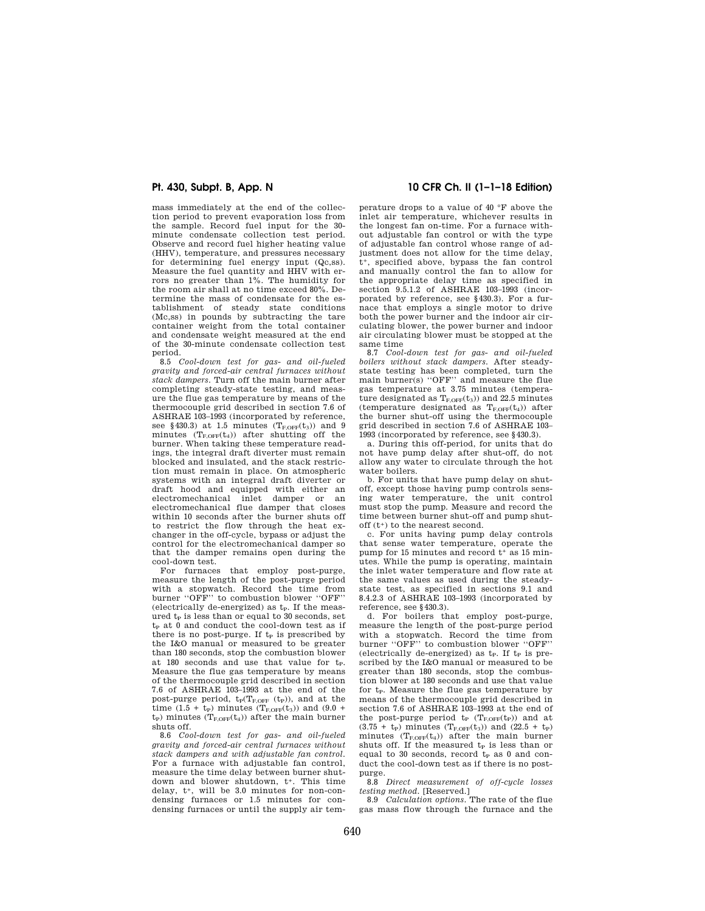mass immediately at the end of the collection period to prevent evaporation loss from the sample. Record fuel input for the 30 minute condensate collection test period. Observe and record fuel higher heating value (HHV), temperature, and pressures necessary for determining fuel energy input (Qc,ss). Measure the fuel quantity and HHV with er-rors no greater than 1%. The humidity for the room air shall at no time exceed 80%. Determine the mass of condensate for the establishment of steady state conditions (Mc,ss) in pounds by subtracting the tare container weight from the total container and condensate weight measured at the end of the 30-minute condensate collection test period.

8.5 *Cool-down test for gas- and oil-fueled gravity and forced-air central furnaces without stack dampers.* Turn off the main burner after completing steady-state testing, and measure the flue gas temperature by means of the thermocouple grid described in section 7.6 of ASHRAE 103–1993 (incorporated by reference, see §430.3) at 1.5 minutes  $(T_{F,OFF}(t_3))$  and 9 minutes  $(T_{FOFF}(t_4))$  after shutting off the burner. When taking these temperature readings, the integral draft diverter must remain blocked and insulated, and the stack restriction must remain in place. On atmospheric systems with an integral draft diverter or draft hood and equipped with either an electromechanical inlet damper or an electromechanical flue damper that closes within 10 seconds after the burner shuts off to restrict the flow through the heat exchanger in the off-cycle, bypass or adjust the control for the electromechanical damper so that the damper remains open during the cool-down test.

that employ post-purge, measure the length of the post-purge period with a stopwatch. Record the time from burner ''OFF'' to combustion blower ''OFF'' (electrically de-energized) as  $t<sub>P</sub>$ . If the measured  $t<sub>P</sub>$  is less than or equal to 30 seconds, set  $t<sub>P</sub>$  at 0 and conduct the cool-down test as if there is no post-purge. If  $t_P$  is prescribed by the I&O manual or measured to be greater than 180 seconds, stop the combustion blower at 180 seconds and use that value for  $t_P$ . Measure the flue gas temperature by means of the thermocouple grid described in section 7.6 of ASHRAE 103–1993 at the end of the post-purge period,  $t_P(T_{F,OFF} (t_P))$ , and at the time  $(1.5 + t_P)$  minutes  $(T_{F,OFF}(t_3))$  and  $(9.0 +$  $t_P$ ) minutes ( $T_{F,OFF}(t_4)$ ) after the main burner shuts off.

8.6 *Cool-down test for gas- and oil-fueled gravity and forced-air central furnaces without stack dampers and with adjustable fan control.*  For a furnace with adjustable fan control, measure the time delay between burner shutdown and blower shutdown, t<sup>+</sup>. This time delay, t+, will be 3.0 minutes for non-condensing furnaces or 1.5 minutes for condensing furnaces or until the supply air tem-

# **Pt. 430, Subpt. B, App. N 10 CFR Ch. II (1–1–18 Edition)**

perature drops to a value of 40 °F above the inlet air temperature, whichever results in the longest fan on-time. For a furnace without adjustable fan control or with the type of adjustable fan control whose range of adjustment does not allow for the time delay, t+, specified above, bypass the fan control and manually control the fan to allow for the appropriate delay time as specified in section 9.5.1.2 of ASHRAE 103–1993 (incorporated by reference, see §430.3). For a furnace that employs a single motor to drive both the power burner and the indoor air circulating blower, the power burner and indoor air circulating blower must be stopped at the same time

8.7 *Cool-down test for gas- and oil-fueled boilers without stack dampers.* After steadystate testing has been completed, turn the main burner(s) "OFF" and measure the flue gas temperature at 3.75 minutes (temperature designated as  $T_{\text{FOFF}}(t_3)$  and 22.5 minutes (temperature designated as  $T_{\text{FOFF}}(t_4)$ ) after the burner shut-off using the thermocouple grid described in section 7.6 of ASHRAE 103– 1993 (incorporated by reference, see §430.3).

a. During this off-period, for units that do not have pump delay after shut-off, do not allow any water to circulate through the hot water boilers.

b. For units that have pump delay on shutoff, except those having pump controls sensing water temperature, the unit control must stop the pump. Measure and record the time between burner shut-off and pump shutoff (t+) to the nearest second.

c. For units having pump delay controls that sense water temperature, operate the pump for 15 minutes and record t+ as 15 minutes. While the pump is operating, maintain the inlet water temperature and flow rate at the same values as used during the steadystate test, as specified in sections 9.1 and 8.4.2.3 of ASHRAE 103–1993 (incorporated by reference, see §430.3).

d. For boilers that employ post-purge, measure the length of the post-purge period with a stopwatch. Record the time from burner ''OFF'' to combustion blower ''OFF'' (electrically de-energized) as  $t<sub>P</sub>$ . If  $t<sub>P</sub>$  is prescribed by the I&O manual or measured to be greater than 180 seconds, stop the combustion blower at 180 seconds and use that value for t<sub>p</sub>. Measure the flue gas temperature by means of the thermocouple grid described in section 7.6 of ASHRAE 103–1993 at the end of the post-purge period  $t_P$  ( $T_{\text{FOFF}}(t_P)$ ) and at  $(3.75$  +  $\rm t_P)$  minutes  $(T_{\rm F,OFF}(t_3))$  and  $(22.5$  +  $\rm t_P)$ minutes  $(T_{F,OFF}(t_4))$  after the main burner shuts off. If the measured  $t_P$  is less than or equal to 30 seconds, record  $t_P$  as 0 and conduct the cool-down test as if there is no postpurge.

8.8 *Direct measurement of off-cycle losses testing method.* [Reserved.]

8.9 *Calculation options.* The rate of the flue gas mass flow through the furnace and the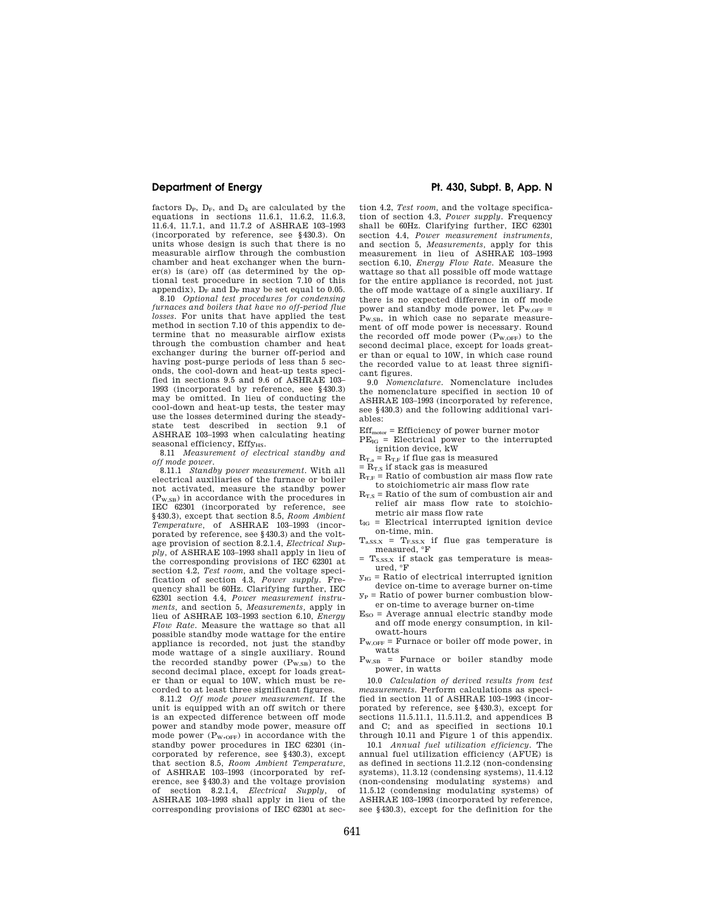factors  $D_P$ ,  $D_F$ , and  $D_S$  are calculated by the equations in sections 11.6.1, 11.6.2, 11.6.3, 11.6.4, 11.7.1, and 11.7.2 of ASHRAE 103–1993 (incorporated by reference, see §430.3). On units whose design is such that there is no measurable airflow through the combustion chamber and heat exchanger when the burner(s) is (are) off (as determined by the optional test procedure in section 7.10 of this appendix),  $\bar{D_F}$  and  $D_P$  may be set equal to 0.05.

8.10 *Optional test procedures for condensing furnaces and boilers that have no off-period flue losses.* For units that have applied the test method in section 7.10 of this appendix to determine that no measurable airflow exists through the combustion chamber and heat exchanger during the burner off-period and having post-purge periods of less than 5 seconds, the cool-down and heat-up tests specified in sections 9.5 and 9.6 of ASHRAE 103– 1993 (incorporated by reference, see §430.3) may be omitted. In lieu of conducting the cool-down and heat-up tests, the tester may use the losses determined during the steadystate test described in section 9.1 of ASHRAE 103–1993 when calculating heating seasonal efficiency, Effy<sub>HS</sub>.

8.11 *Measurement of electrical standby and off mode power.* 

8.11.1 *Standby power measurement.* With all electrical auxiliaries of the furnace or boiler not activated, measure the standby power (PW,SB) in accordance with the procedures in IEC 62301 (incorporated by reference, see §430.3), except that section 8.5, *Room Ambient Temperature,* of ASHRAE 103–1993 (incorporated by reference, see §430.3) and the voltage provision of section 8.2.1.4, *Electrical Supply,* of ASHRAE 103–1993 shall apply in lieu of the corresponding provisions of IEC 62301 at section 4.2, *Test room,* and the voltage specification of section 4.3, *Power supply.* Frequency shall be 60Hz. Clarifying further, IEC 62301 section 4.4, *Power measurement instruments,* and section 5, *Measurements,* apply in lieu of ASHRAE 103–1993 section 6.10, *Energy Flow Rate.* Measure the wattage so that all possible standby mode wattage for the entire appliance is recorded, not just the standby mode wattage of a single auxiliary. Round the recorded standby power  $(P_{W,SB})$  to the second decimal place, except for loads greater than or equal to 10W, which must be recorded to at least three significant figures.

8.11.2 *Off mode power measurement.* If the unit is equipped with an off switch or there is an expected difference between off mode power and standby mode power, measure off mode power  $(P_{W,OFF})$  in accordance with the standby power procedures in IEC 62301 (incorporated by reference, see §430.3), except that section 8.5, *Room Ambient Temperature,*  of ASHRAE 103–1993 (incorporated by reference, see §430.3) and the voltage provision of section 8.2.1.4, *Electrical Supply,* of ASHRAE 103–1993 shall apply in lieu of the corresponding provisions of IEC 62301 at sec-

# **Department of Energy Pt. 430, Subpt. B, App. N**

tion 4.2, *Test room,* and the voltage specification of section 4.3, *Power supply.* Frequency shall be 60Hz. Clarifying further, IEC 62301 section 4.4, *Power measurement instruments,*  and section 5, *Measurements,* apply for this measurement in lieu of ASHRAE 103–1993 section 6.10, *Energy Flow Rate.* Measure the wattage so that all possible off mode wattage for the entire appliance is recorded, not just the off mode wattage of a single auxiliary. If there is no expected difference in off mode power and standby mode power, let  $P_{W,OFF}$  = P<sub>W,SB</sub>, in which case no separate measurement of off mode power is necessary. Round the recorded off mode power  $(P_{W,OFF})$  to the second decimal place, except for loads greater than or equal to 10W, in which case round the recorded value to at least three significant figures.

9.0 *Nomenclature.* Nomenclature includes the nomenclature specified in section 10 of ASHRAE 103–1993 (incorporated by reference, see §430.3) and the following additional variables:

 $Eff<sub>motor</sub> = Efficiency of power burner motor$ 

- $PE_{IG}$  = Electrical power to the interrupted ignition device, kW
- $R_{T,a}$  =  $R_{T,F}$  if flue gas is measured
- $=$   $R_{T,S}$  if stack gas is measured
- $R_{T,F}$  = Ratio of combustion air mass flow rate to stoichiometric air mass flow rate
- $R_{T,S}$  = Ratio of the sum of combustion air and relief air mass flow rate to stoichiometric air mass flow rate
- $t_{IG}$  = Electrical interrupted ignition device on-time, min.
- $T_{a,SS,X}$  =  $T_{F,SS,X}$  if flue gas temperature is measured,  ${}^{\circ}F$
- $T_{S,SS,X}$  if stack gas temperature is measured, °F
- $y_{IG}$  = Ratio of electrical interrupted ignition device on-time to average burner on-time
- $y_P$  = Ratio of power burner combustion blower on-time to average burner on-time
- $E<sub>SO</sub>$  = Average annual electric standby mode and off mode energy consumption, in kilowatt-hours
- $P_{W,OFF}$  = Furnace or boiler off mode power, in watts
- $P_{W,SB}$  = Furnace or boiler standby mode power, in watts

10.0 *Calculation of derived results from test measurements.* Perform calculations as specified in section 11 of ASHRAE 103–1993 (incorporated by reference, see §430.3), except for sections 11.5.11.1, 11.5.11.2, and appendices B and C; and as specified in sections 10.1 through 10.11 and Figure 1 of this appendix.

10.1 *Annual fuel utilization efficiency.* The annual fuel utilization efficiency (AFUE) is as defined in sections 11.2.12 (non-condensing systems), 11.3.12 (condensing systems), 11.4.12 (non-condensing modulating systems) and 11.5.12 (condensing modulating systems) of ASHRAE 103–1993 (incorporated by reference, see §430.3), except for the definition for the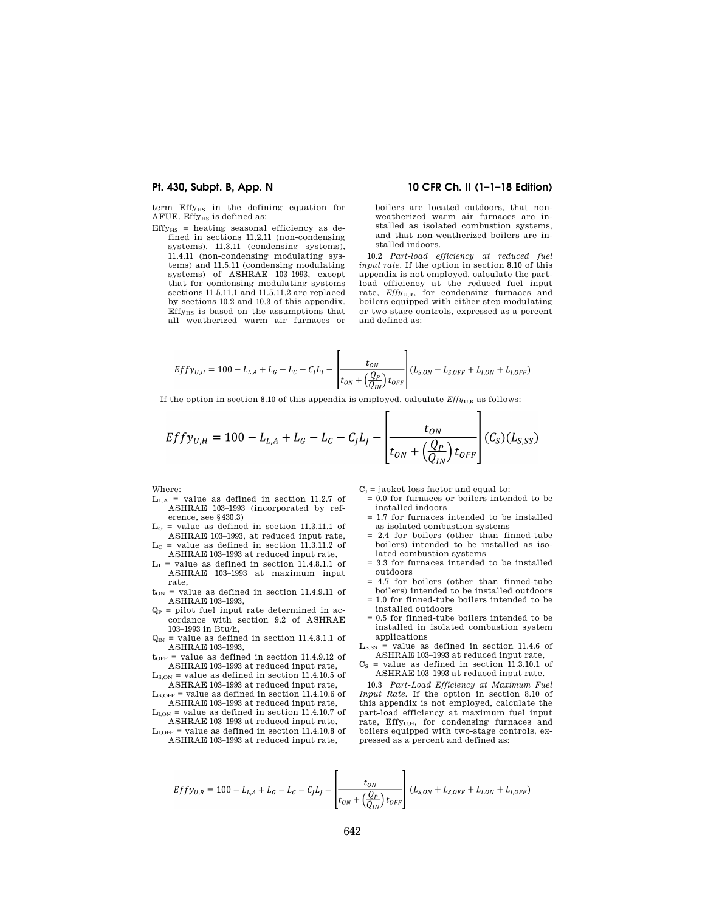term Effy<sub>HS</sub> in the defining equation for AFUE. Effy<sub>HS</sub> is defined as:

 $Effy_{HS}$  = heating seasonal efficiency as defined in sections 11.2.11 (non-condensing systems), 11.3.11 (condensing systems), 11.4.11 (non-condensing modulating systems) and 11.5.11 (condensing modulating systems) of ASHRAE 103–1993, except that for condensing modulating systems sections 11.5.11.1 and 11.5.11.2 are replaced by sections 10.2 and 10.3 of this appendix.  $Effy<sub>HS</sub>$  is based on the assumptions that all weatherized warm air furnaces or

## **Pt. 430, Subpt. B, App. N 10 CFR Ch. II (1–1–18 Edition)**

boilers are located outdoors, that nonweatherized warm air furnaces are installed as isolated combustion systems, and that non-weatherized boilers are installed indoors.

10.2 *Part-load efficiency at reduced fuel input rate.* If the option in section 8.10 of this appendix is not employed, calculate the partload efficiency at the reduced fuel input rate,  $Effy_{U,R}$ , for condensing furnaces and boilers equipped with either step-modulating or two-stage controls, expressed as a percent and defined as:

$$
Effy_{U,H} = 100 - L_{L,A} + L_G - L_C - C_J L_J - \left[ \frac{t_{ON}}{t_{ON} + (\frac{Q_P}{Q_{IN}}) t_{OFF}} \right] (L_{S,ON} + L_{S,OFF} + L_{I,ON} + L_{I,OFF})
$$

If the option in section 8.10 of this appendix is employed, calculate  $Effy_{U,R}$  as follows:

$$
Effy_{U,H} = 100 - L_{L,A} + L_G - L_C - C_J L_J - \left[ \frac{t_{ON}}{t_{ON} + \left( \frac{Q_P}{Q_{IN}} \right) t_{OFF}} \right] (C_S)(L_{S,SS})
$$

Г

Where:

- $L_{L,A}$  = value as defined in section 11.2.7 of ASHRAE 103–1993 (incorporated by reference, see §430.3)
- $L_G$  = value as defined in section 11.3.11.1 of ASHRAE 103–1993, at reduced input rate,
- $L<sub>C</sub>$  = value as defined in section 11.3.11.2 of ASHRAE 103–1993 at reduced input rate,
- $L_J$  = value as defined in section 11.4.8.1.1 of ASHRAE 103–1993 at maximum input rate,
- $t_{ON}$  = value as defined in section 11.4.9.11 of ASHRAE 103–1993,
- $Q_P$  = pilot fuel input rate determined in accordance with section 9.2 of ASHRAE 103–1993 in Btu/h,
- $Q_{IN}$  = value as defined in section 11.4.8.1.1 of ASHRAE 103–1993,
- $t_{\text{OFF}}$  = value as defined in section 11.4.9.12 of ASHRAE 103–1993 at reduced input rate,
- $L_{S,ON}$  = value as defined in section 11.4.10.5 of ASHRAE 103–1993 at reduced input rate,
- $L_{S,OFF}$  = value as defined in section 11.4.10.6 of ASHRAE 103–1993 at reduced input rate,
- $L_{I,ON}$  = value as defined in section 11.4.10.7 of ASHRAE 103–1993 at reduced input rate,
- $L_{I,OFF}$  = value as defined in section 11.4.10.8 of ASHRAE 103–1993 at reduced input rate,

 $C_I$  = jacket loss factor and equal to:

 $= 0.0$  for furnaces or boilers intended to be installed indoors

 $\mathbf{I}$ 

- = 1.7 for furnaces intended to be installed as isolated combustion systems
- $= 2.4$  for boilers (other than finned-tube boilers) intended to be installed as isolated combustion systems
- = 3.3 for furnaces intended to be installed outdoors
- = 4.7 for boilers (other than finned-tube boilers) intended to be installed outdoors
- = 1.0 for finned-tube boilers intended to be installed outdoors
- = 0.5 for finned-tube boilers intended to be installed in isolated combustion system applications
- $L<sub>S,SS</sub>$  = value as defined in section 11.4.6 of ASHRAE 103–1993 at reduced input rate,
- $C<sub>S</sub>$  = value as defined in section 11.3.10.1 of ASHRAE 103–1993 at reduced input rate.

10.3 *Part-Load Efficiency at Maximum Fuel Input Rate.* If the option in section 8.10 of this appendix is not employed, calculate the part-load efficiency at maximum fuel input rate, Effy<sub>U,H</sub>, for condensing furnaces and boilers equipped with two-stage controls, expressed as a percent and defined as:

$$
Effy_{U,R} = 100 - L_{L,A} + L_G - L_C - C_J L_J - \left[ \frac{t_{ON}}{t_{ON} + \left( \frac{Q_P}{Q_{IN}} \right) t_{OFF}} \right] \left( L_{S,ON} + L_{S,OFF} + L_{I,ON} + L_{I,OFF} \right)
$$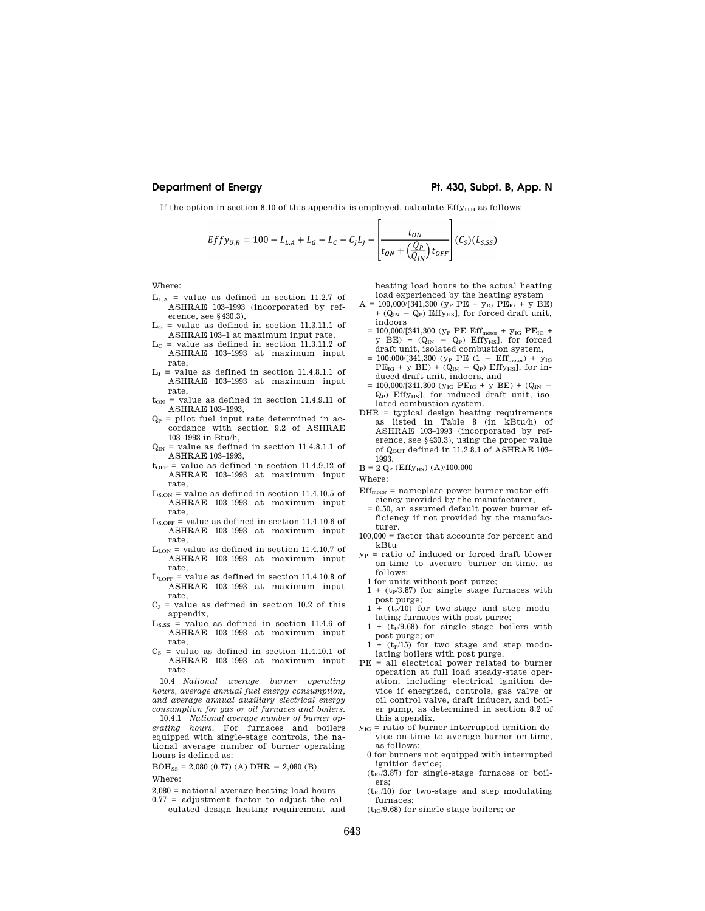# **Department of Energy Pt. 430, Subpt. B, App. N**

If the option in section 8.10 of this appendix is employed, calculate  $Eff_{U,H}$  as follows:

$$
Effy_{U,R} = 100 - L_{L,A} + L_G - L_C - C_J L_J - \left[ \frac{t_{ON}}{t_{ON} + \left( \frac{Q_P}{Q_{IN}} \right) t_{OFF}} \right] (C_S)(L_{S,SS})
$$

Where:

- $L_{L,A}$  = value as defined in section 11.2.7 of ASHRAE 103–1993 (incorporated by reference, see §430.3),
- $L_G$  = value as defined in section 11.3.11.1 of ASHRAE 103–1 at maximum input rate,
- $L_C$  = value as defined in section 11.3.11.2 of ASHRAE 103–1993 at maximum input rate,
- $L_J$  = value as defined in section 11.4.8.1.1 of ASHRAE 103–1993 at maximum input rate,
- $t_{ON}$  = value as defined in section 11.4.9.11 of ASHRAE 103–1993,
- $Q_P$  = pilot fuel input rate determined in accordance with section 9.2 of ASHRAE 103–1993 in Btu/h,
- $Q_{IN}$  = value as defined in section 11.4.8.1.1 of ASHRAE 103–1993,
- $t_{\text{OFF}}$  = value as defined in section 11.4.9.12 of ASHRAE 103–1993 at maximum input rate,
- $\rm L_{S,ON}$  = value as defined in section 11.4.10.5 of ASHRAE 103–1993 at maximum input rate,
- $L_{S,OFF}$  = value as defined in section 11.4.10.6 of ASHRAE 103–1993 at maximum input rate,
- $L_{I,ON}$  = value as defined in section 11.4.10.7 of ASHRAE 103–1993 at maximum input rate,
- $L_{I,OFF}$  = value as defined in section 11.4.10.8 of ASHRAE 103–1993 at maximum input rate,
- $C_I$  = value as defined in section 10.2 of this appendix,
- $L<sub>S,SS</sub>$  = value as defined in section 11.4.6 of ASHRAE 103–1993 at maximum input rate,
- $C<sub>S</sub>$  = value as defined in section 11.4.10.1 of ASHRAE 103–1993 at maximum input rate.

10.4 *National average burner operating hours, average annual fuel energy consumption, and average annual auxiliary electrical energy consumption for gas or oil furnaces and boilers.* 

10.4.1 *National average number of burner operating hours.* For furnaces and boilers equipped with single-stage controls, the national average number of burner operating hours is defined as:

 $BOH_{SS} = 2,080 (0.77) (A) DHR - 2,080 (B)$ Where:

- 2,080 = national average heating load hours  $0.77$  = adjustment factor to adjust the cal-
- culated design heating requirement and

heating load hours to the actual heating load experienced by the heating system

- $A = 100,000/[341,300 (y<sub>P</sub> PE + y<sub>IG</sub> PE<sub>IG</sub> + y BE)$ +  $(Q_{IN} - Q_P)$  Effy<sub>HS</sub>], for forced draft unit, indoors
- = 100,000/[341,300 ( $y_P$  PE Eff<sub>motor</sub> +  $y_{IG}$  PE<sub>IG</sub> +  $y$  BE) +  $(Q_{IN} - Q_P)$  Effy<sub>HS</sub>], for forced draft unit, isolated combustion system,
- $= 100,000/[341,300$  ( $y_P$  PE (1 Eff<sub>motor</sub>) +  $y_{IG}$  $PE_{IG} + y BE$  +  $(Q_{IN} - Q_P) Effy_{HS}$ , for induced draft unit, indoors, and
- $= 100,000/[341,300 (y_{IG} PE_{IG} + y BE) + (Q_{IN} Q_P$ ) Effy<sub>HS</sub>], for induced draft unit, isolated combustion system.
- DHR = typical design heating requirements as listed in Table 8 (in kBtu/h) of ASHRAE 103–1993 (incorporated by reference, see §430.3), using the proper value of Q<sub>OUT</sub> defined in 11.2.8.1 of ASHRAE 103-1993.
- $\rm B = 2$   $\rm Q_{\rm P}$  (Effy $_{\rm HS})$  (A)/100,000

Where:

- $Eff<sub>motor</sub> = nameplate power burner motor effi$ ciency provided by the manufacturer,
- = 0.50, an assumed default power burner efficiency if not provided by the manufacturer.
- 100,000 = factor that accounts for percent and kBtu
- $y_P$  = ratio of induced or forced draft blower on-time to average burner on-time, as follows:
- 1 for units without post-purge;
- $1 + (t_P/3.87)$  for single stage furnaces with post purge;
- $1 + (t_P/10)$  for two-stage and step modulating furnaces with post purge;
- $1 + (t_P/9.68)$  for single stage boilers with post purge; or
- $1 + (t_P/15)$  for two stage and step modulating boilers with post purge.
- PE = all electrical power related to burner operation at full load steady-state operation, including electrical ignition device if energized, controls, gas valve or oil control valve, draft inducer, and boiler pump, as determined in section 8.2 of this appendix.
- $y_{IG}$  = ratio of burner interrupted ignition device on-time to average burner on-time, as follows:
- 0 for burners not equipped with interrupted ignition device;
- $(t_{IG}/3.87)$  for single-stage furnaces or boilers;
- $(t_{IG}/10)$  for two-stage and step modulating furnaces;
- $(t_{IG}/9.68)$  for single stage boilers; or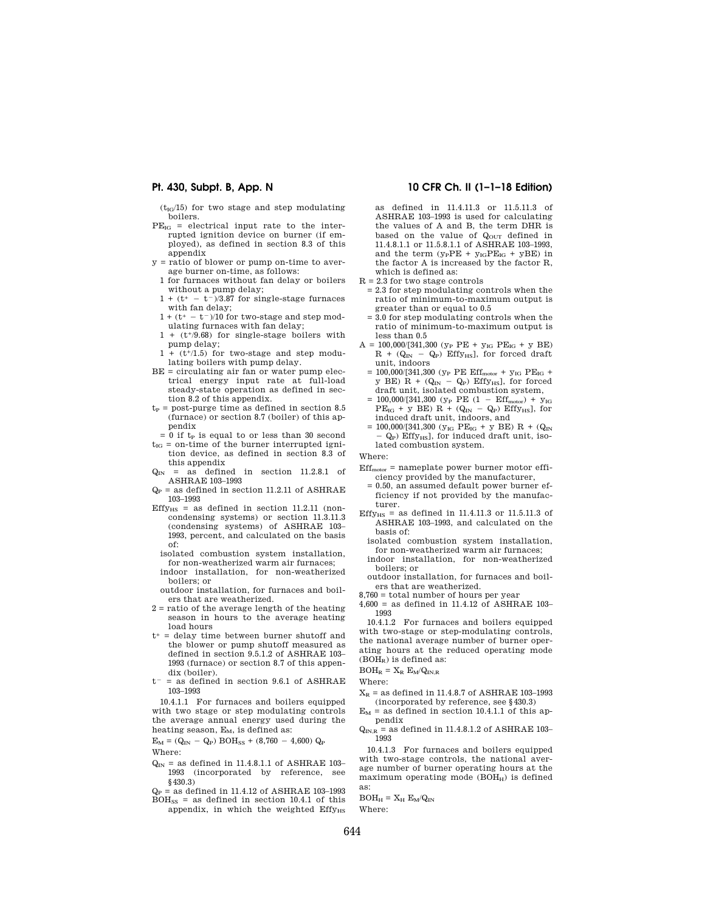$(t_{IG}/15)$  for two stage and step modulating boilers.

- $PE_{IG}$  = electrical input rate to the interrupted ignition device on burner (if employed), as defined in section 8.3 of this appendix
- $y =$  ratio of blower or pump on-time to average burner on-time, as follows:
- 1 for furnaces without fan delay or boilers without a pump delay;
- $1 + (t^+ t^-)/3.87$  for single-stage furnaces with fan delay;
- $1 + (t^+ t^-)/10$  for two-stage and step modulating furnaces with fan delay;
- 1 + (t+/9.68) for single-stage boilers with pump delay;
- $1 + (t<sup>+</sup>/1.5)$  for two-stage and step modulating boilers with pump delay.
- BE = circulating air fan or water pump electrical energy input rate at full-load steady-state operation as defined in section 8.2 of this appendix.
- $t<sub>P</sub>$  = post-purge time as defined in section 8.5 (furnace) or section 8.7 (boiler) of this appendix
- $= 0$  if t<sub>p</sub> is equal to or less than 30 second  $t_{IG}$  = on-time of the burner interrupted igni-
- tion device, as defined in section 8.3 of this appendix
- $Q_{IN}$  = as defined in section 11.2.8.1 of ASHRAE 103–1993
- $Q_P$  = as defined in section 11.2.11 of ASHRAE 103–1993
- Effy<sub>HS</sub> = as defined in section 11.2.11 (noncondensing systems) or section 11.3.11.3 (condensing systems) of ASHRAE 103– 1993, percent, and calculated on the basis of:
	- isolated combustion system installation, for non-weatherized warm air furnaces;
- indoor installation, for non-weatherized boilers; or

outdoor installation, for furnaces and boilers that are weatherized.

- 2 = ratio of the average length of the heating season in hours to the average heating load hours
- $t^+$  = delay time between burner shutoff and the blower or pump shutoff measured as defined in section 9.5.1.2 of ASHRAE 103– 1993 (furnace) or section 8.7 of this appendix (boiler).
- $t^-=$  as defined in section 9.6.1 of ASHRAE 103–1993

10.4.1.1 For furnaces and boilers equipped with two stage or step modulating controls the average annual energy used during the heating season,  $E_M$ , is defined as:

 $E_M = (Q_{IN} - Q_P) BOH_{SS} + (8,760 - 4,600) Q_P$ Where:

- $Q_{IN}$  = as defined in 11.4.8.1.1 of ASHRAE 103– 1993 (incorporated by reference, see §430.3)
- $Q_P$  = as defined in 11.4.12 of ASHRAE 103-1993  $BOH_{SS}$  = as defined in section 10.4.1 of this
- appendix, in which the weighted  $Effy<sub>HS</sub>$

# **Pt. 430, Subpt. B, App. N 10 CFR Ch. II (1–1–18 Edition)**

as defined in 11.4.11.3 or 11.5.11.3 of ASHRAE 103–1993 is used for calculating the values of A and B, the term DHR is based on the value of  $Q_{\text{OUT}}$  defined in 11.4.8.1.1 or 11.5.8.1.1 of ASHRAE 103–1993, and the term  $(\mathrm{y}_\mathrm{P}\mathrm{P}\mathrm{E}\,+\,\mathrm{y}_\mathrm{IG}\mathrm{P}\mathrm{E}_\mathrm{IG}$  +  $\mathrm{y}\mathrm{B}\mathrm{E})$  in the factor A is increased by the factor R, which is defined as:

- $R = 2.3$  for two stage controls
- = 2.3 for step modulating controls when the ratio of minimum-to-maximum output is greater than or equal to 0.5
- = 3.0 for step modulating controls when the ratio of minimum-to-maximum output is less than 0.5
- $A = 100,000/[341,300 (y<sub>P</sub> PE + y<sub>IG</sub> PE<sub>IG</sub> + y BE)$  $R$  + ( $Q_{IN}$  –  $Q_P$ ) Effy<sub>HS</sub>], for forced draft unit, indoors
- $=$  100,000/[341,300 (yp PE Eff $_{\rm motor}$  + y $_{\rm IG}$  PE $_{\rm IG}$  + y BE) R +  $(Q_{IN} - Q_P)$  Effy<sub>HS</sub>], for forced draft unit, isolated combustion system,
- $= 100,000/[341,300 (y<sub>P</sub> PE (1 Eff<sub>motor</sub>) + y<sub>IG</sub>]$  $PE_{IG}$  + y BE) R + ( $Q_{IN}$  –  $Q_P$ ) Effy<sub>HS</sub>], for induced draft unit, indoors, and
- = 100,000/[341,300 ( $y_{IG}$  PE<sub>IG</sub> + y BE) R + (Q<sub>IN</sub>  $-$  Q<sub>P</sub>) Effy<sub>HS</sub>], for induced draft unit, isolated combustion system.

Where:

- $Eff<sub>motor</sub> = nameplate power burner motor effi$ ciency provided by the manufacturer,
	- = 0.50, an assumed default power burner efficiency if not provided by the manufacturer.
- Effy $_{HS}$  = as defined in 11.4.11.3 or 11.5.11.3 of ASHRAE 103–1993, and calculated on the basis of:
	- isolated combustion system installation, for non-weatherized warm air furnaces;
	- indoor installation, for non-weatherized boilers; or
- outdoor installation, for furnaces and boilers that are weatherized.
- 8,760 = total number of hours per year
- 4,600 = as defined in 11.4.12 of ASHRAE 103– 1993

10.4.1.2 For furnaces and boilers equipped with two-stage or step-modulating controls, the national average number of burner operating hours at the reduced operating mode (BOHR) is defined as:

### $\mathrm{BOH}_{\mathrm{R}}=\mathrm{X}_{\mathrm{R}}$   $\mathrm{E}_{\mathrm{M}}/\mathrm{Q}_{\mathrm{IN,R}}$

- Where:
- $X_R$  = as defined in 11.4.8.7 of ASHRAE 103-1993 (incorporated by reference, see §430.3)
- $E_M$  = as defined in section 10.4.1.1 of this appendix
- $Q_{\text{IN},\text{R}}$  = as defined in 11.4.8.1.2 of ASHRAE 103–1993

10.4.1.3 For furnaces and boilers equipped with two-stage controls, the national average number of burner operating hours at the maximum operating mode  $(BOH_H)$  is defined as:

 $BOH_H = X_H E_M/Q_{IN}$ 

Where: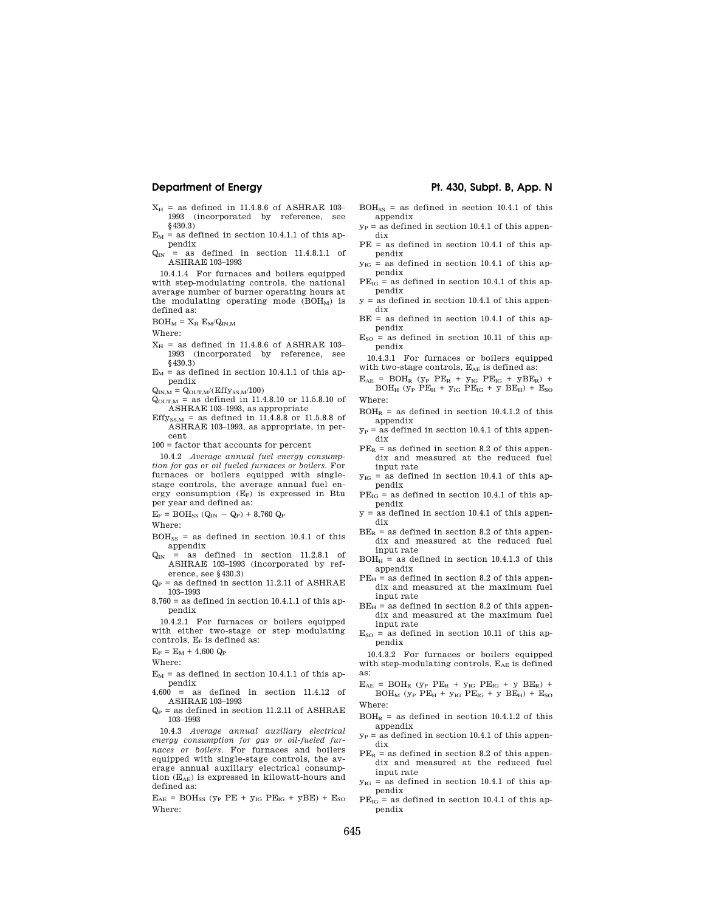- $X_H$  = as defined in 11.4.8.6 of ASHRAE 103-1993 (incorporated by reference, see §430.3)
- $E_M$  = as defined in section 10.4.1.1 of this appendix
- $Q_{IN}$  = as defined in section 11.4.8.1.1 of ASHRAE 103–1993

10.4.1.4 For furnaces and boilers equipped with step-modulating controls, the national average number of burner operating hours at the modulating operating mode  $(BOH<sub>M</sub>)$  is defined as:

 $BOH_M = X_H E_M/Q_{IN,M}$ 

Where:

- $X_H$  = as defined in 11.4.8.6 of ASHRAE 103– 1993 (incorporated by reference, see §430.3)
- $E_M$  = as defined in section 10.4.1.1 of this appendix

 $Q_{IN,M} = Q_{OUT,M}/(Effy_{SS,M}/100)$ 

 $Q_{\text{OUT},M}$  = as defined in 11.4.8.10 or 11.5.8.10 of ASHRAE 103–1993, as appropriate

Effy<sub>SS,M</sub> = as defined in 11.4.8.8 or 11.5.8.8 of ASHRAE 103–1993, as appropriate, in percent

 $100$  = factor that accounts for percent  $\,$ 

10.4.2 *Average annual fuel energy consumption for gas or oil fueled furnaces or boilers.* For furnaces or boilers equipped with singlestage controls, the average annual fuel energy consumption  $(E_F)$  is expressed in Btu per year and defined as:

 $\rm E_F = BOH_{SS}$   $\rm (Q_{IN}$   $\rm Q_P)$  + 8,760  $\rm Q_P$ 

Where:

- $\mathrm{BOH}_{\mathrm{SS}}$  = as defined in section 10.4.1 of this appendix
- $Q_{IN}$  = as defined in section 11.2.8.1 of ASHRAE 103–1993 (incorporated by reference, see §430.3)
- $Q_P$  = as defined in section 11.2.11 of ASHRAE 103–1993
- $8,760 =$  as defined in section 10.4.1.1 of this appendix

10.4.2.1 For furnaces or boilers equipped with either two-stage or step modulating controls,  $\mathrm{E_{F}}$  is defined as:

 $E_F = E_M + 4,600 Q_P$ 

Where:

- $E_M$  = as defined in section 10.4.1.1 of this appendix
- 4,600 = as defined in section 11.4.12 of ASHRAE 103–1993
- $Q_P$  = as defined in section 11.2.11 of ASHRAE 103–1993

10.4.3 *Average annual auxiliary electrical energy consumption for gas or oil-fueled furnaces or boilers.* For furnaces and boilers equipped with single-stage controls, the average annual auxiliary electrical consumption (EAE) is expressed in kilowatt-hours and defined as:

 $E_{AE}$  = BOH<sub>SS</sub> (y<sub>P</sub> PE + y<sub>IG</sub> PE<sub>IG</sub> + yBE) +  $E_{SO}$ Where:

# **Department of Energy Pt. 430, Subpt. B, App. N**

- $BOH<sub>SS</sub> =$  as defined in section 10.4.1 of this appendix
- $y_P$  = as defined in section 10.4.1 of this appendix
- PE = as defined in section 10.4.1 of this appendix
- $y_{IG}$  = as defined in section 10.4.1 of this appendix
- $PE_{IG}$  = as defined in section 10.4.1 of this appendix  $y =$  as defined in section 10.4.1 of this appen-
- dix  $BE =$  as defined in section 10.4.1 of this ap-
- pendix  $E_{SO}$  = as defined in section 10.11 of this appendix
- 10.4.3.1 For furnaces or boilers equipped with two-stage controls,  $E_{AE}$  is defined as:
- $E_{AE}$  = BOH<sub>R</sub> ( $y_P$  P $E_R$  +  $y_{IG}$  P $E_{IG}$  +  $yBE_R$ ) +  $BOH_H$  (y<sub>p</sub> PE<sub>H</sub> + y<sub>IG</sub> PE<sub>IG</sub> + y BE<sub>H</sub>) + E<sub>SO</sub> Where:
- $BOH<sub>P</sub> = as defined in section 10.4.1.2 of this$ appendix
- $y_P$  = as defined in section 10.4.1 of this appendix
- $PE<sub>R</sub>$  = as defined in section 8.2 of this appendix and measured at the reduced fuel input rate
- $y_{IG}$  = as defined in section 10.4.1 of this appendix
- $PE_{IG}$  = as defined in section 10.4.1 of this appendix
- y = as defined in section 10.4.1 of this appendix
- $BE_R$  = as defined in section 8.2 of this appendix and measured at the reduced fuel input rate
- $BOH<sub>H</sub>$  = as defined in section 10.4.1.3 of this appendix
- $PE<sub>H</sub>$  = as defined in section 8.2 of this appendix and measured at the maximum fuel input rate
- $BE_H$  = as defined in section 8.2 of this appendix and measured at the maximum fuel input rate
- $E_{SO}$  = as defined in section 10.11 of this appendix

10.4.3.2 For furnaces or boilers equipped with step-modulating controls,  $\rm E_{AE}$  is defined as:

 $E_{AE}$  = BOH<sub>R</sub> ( $y_P$  P $E_R$  +  $y_{IG}$  P $E_{IG}$  +  $y$  B $E_R$ ) +  $BOH_M$  (y<sub>p</sub> PE<sub>H</sub> + y<sub>IG</sub> PE<sub>IG</sub> + y BE<sub>H</sub>) + E<sub>SO</sub> Where:

- $BOH<sub>R</sub> =$  as defined in section 10.4.1.2 of this appendix
- $y_P$  = as defined in section 10.4.1 of this appendix
- $PE<sub>R</sub>$  = as defined in section 8.2 of this appendix and measured at the reduced fuel input rate
- $y_{IG}$  = as defined in section 10.4.1 of this appendix
- $PE_{IG}$  = as defined in section 10.4.1 of this appendix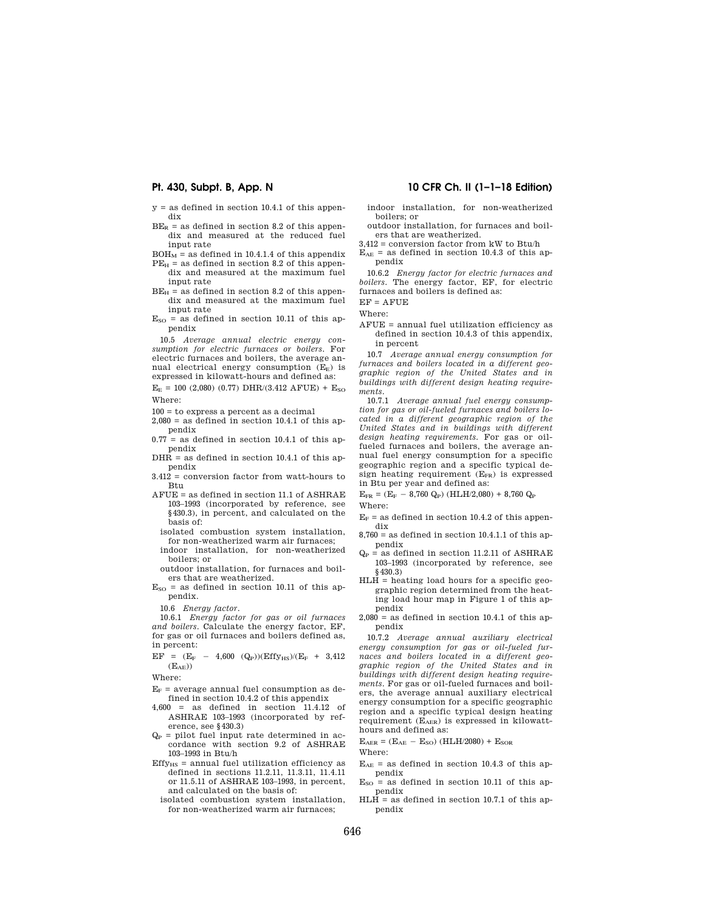- $y =$  as defined in section 10.4.1 of this appendix
- $\rm{BE}_{\rm{R}}$  = as defined in section 8.2 of this appendix and measured at the reduced fuel input rate
- $BOH<sub>M</sub>$  = as defined in 10.4.1.4 of this appendix  $PE_H$  = as defined in section 8.2 of this appen-
- dix and measured at the maximum fuel input rate
- $BE_H$  = as defined in section 8.2 of this appendix and measured at the maximum fuel input rate
- $E<sub>SO</sub>$  = as defined in section 10.11 of this appendix

10.5 *Average annual electric energy consumption for electric furnaces or boilers.* For electric furnaces and boilers, the average annual electrical energy consumption  $(E_E)$  is expressed in kilowatt-hours and defined as:

 $E_E = 100 (2,080) (0.77) DHR/(3.412 AFUE) + E<sub>SO</sub>$ Where:

100 = to express a percent as a decimal

- $2.080 =$  as defined in section 10.4.1 of this appendix
- $0.77$  = as defined in section 10.4.1 of this appendix
- DHR = as defined in section 10.4.1 of this appendix
- 3.412 = conversion factor from watt-hours to Btu
- AFUE = as defined in section 11.1 of ASHRAE 103–1993 (incorporated by reference, see §430.3), in percent, and calculated on the basis of:
- isolated combustion system installation, for non-weatherized warm air furnaces;
- indoor installation, for non-weatherized boilers; or outdoor installation, for furnaces and boil-
- ers that are weatherized.
- $E<sub>SO</sub>$  = as defined in section 10.11 of this appendix.

10.6 *Energy factor.* 

10.6.1 *Energy factor for gas or oil furnaces and boilers.* Calculate the energy factor, EF, for gas or oil furnaces and boilers defined as, in percent:

 $\rm EF \ = \ (E_F \ - \ 4,600 \ \ (Q_P)) (Effy_{HS})/(E_F \ + \ 3,412$  $(E_{AE})$ 

Where:

- $E_F$  = average annual fuel consumption as defined in section 10.4.2 of this appendix
- 4,600 = as defined in section 11.4.12 of ASHRAE 103–1993 (incorporated by reference, see §430.3)
- $Q_P$  = pilot fuel input rate determined in accordance with section 9.2 of ASHRAE 103–1993 in Btu/h
- $Effv_{\text{us}} =$  annual fuel utilization efficiency as defined in sections 11.2.11, 11.3.11, 11.4.11 or 11.5.11 of ASHRAE 103–1993, in percent, and calculated on the basis of:
- isolated combustion system installation, for non-weatherized warm air furnaces;

# **Pt. 430, Subpt. B, App. N 10 CFR Ch. II (1–1–18 Edition)**

indoor installation, for non-weatherized boilers; or

outdoor installation, for furnaces and boilers that are weatherized.

3,412 = conversion factor from kW to Btu/h  $E_{AE}$  = as defined in section 10.4.3 of this appendix

10.6.2 *Energy factor for electric furnaces and boilers.* The energy factor, EF, for electric furnaces and boilers is defined as:

 $EF = A F IIF$ 

Where:

AFUE = annual fuel utilization efficiency as defined in section 10.4.3 of this appendix, in percent

10.7 *Average annual energy consumption for furnaces and boilers located in a different geographic region of the United States and in buildings with different design heating requirements.* 

10.7.1 *Average annual fuel energy consumption for gas or oil-fueled furnaces and boilers located in a different geographic region of the United States and in buildings with different design heating requirements.* For gas or oilfueled furnaces and boilers, the average annual fuel energy consumption for a specific geographic region and a specific typical design heating requirement  $(E_{FR})$  is expressed in Btu per year and defined as:

 $E_{FR} = (E_F - 8{,}760 \text{ Q}_P) (H L H / 2{,}080) + 8{,}760 \text{ Q}_P$ Where:

- $E_F$  = as defined in section 10.4.2 of this appendix
- $8{,}760=\mathrm{as}$  defined in section 10.4.1.1 of this appendix
- $Q_P$  = as defined in section 11.2.11 of ASHRAE 103–1993 (incorporated by reference, see §430.3)
- HLH = heating load hours for a specific geographic region determined from the heating load hour map in Figure 1 of this appendix
- $2.080 =$  as defined in section 10.4.1 of this appendix

10.7.2 *Average annual auxiliary electrical energy consumption for gas or oil-fueled furnaces and boilers located in a different geographic region of the United States and in buildings with different design heating requirements.* For gas or oil-fueled furnaces and boilers, the average annual auxiliary electrical energy consumption for a specific geographic region and a specific typical design heating requirement  $(E_{AER})$  is expressed in kilowatthours and defined as:

 $E_{AER} = (E_{AE} - E_{SO})$  (HLH/2080) +  $E_{SOR}$ Where:

- $E_{AE}$  = as defined in section 10.4.3 of this appendix
- $E<sub>SO</sub> =$  as defined in section 10.11 of this appendix
- $HLH =$  as defined in section 10.7.1 of this appendix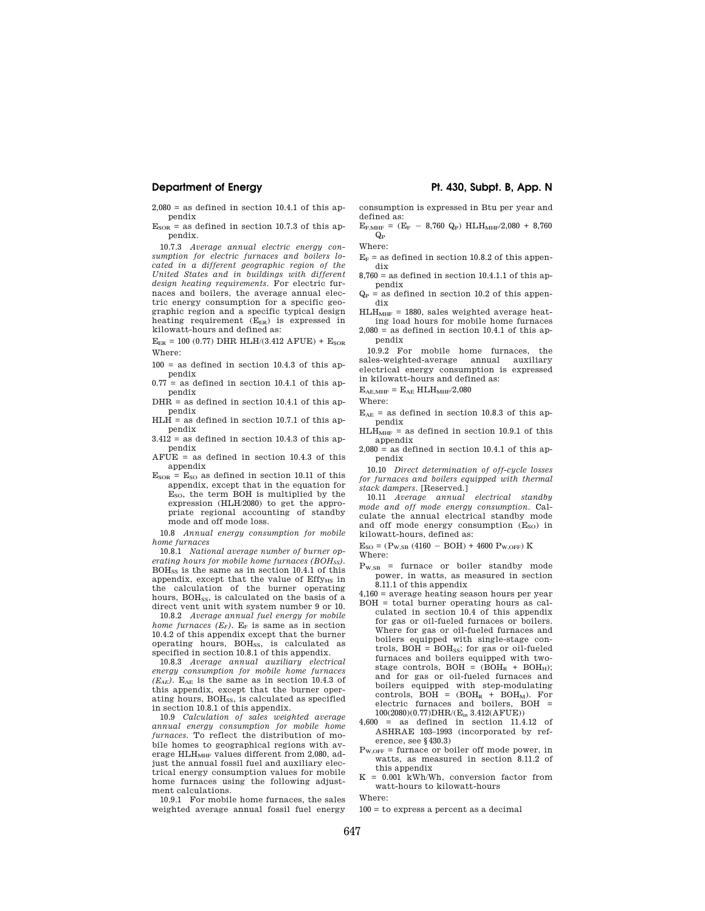$2.080 =$  as defined in section 10.4.1 of this appendix

 $E<sub>SOR</sub>$  = as defined in section 10.7.3 of this appendix.

10.7.3 *Average annual electric energy consumption for electric furnaces and boilers located in a different geographic region of the United States and in buildings with different design heating requirements.* For electric furnaces and boilers, the average annual electric energy consumption for a specific geographic region and a specific typical design heating requirement (E<sub>ER</sub>) is expressed in kilowatt-hours and defined as:

 $E_{ER}$  = 100 (0.77) DHR HLH/(3.412 AFUE) +  $E_{SOR}$ Where:

 $100 =$  as defined in section 10.4.3 of this appendix

 $0.77$  = as defined in section 10.4.1 of this appendix

 $DHR =$  as defined in section 10.4.1 of this appendix

 $HLH$  = as defined in section 10.7.1 of this appendix

 $3.412 =$  as defined in section 10.4.3 of this appendix

 $AFUE = as defined in section 10.4.3 of this$ appendix

 $E<sub>SOR</sub> = E<sub>SO</sub>$  as defined in section 10.11 of this appendix, except that in the equation for ESO, the term BOH is multiplied by the expression (HLH/2080) to get the appropriate regional accounting of standby mode and off mode loss.

10.8 *Annual energy consumption for mobile home furnaces* 

10.8.1 *National average number of burner operating hours for mobile home furnaces (BOHSS).*  BOHSS is the same as in section 10.4.1 of this appendix, except that the value of Effy<sub>HS</sub> in the calculation of the burner operating hours, BOH<sub>SS</sub>, is calculated on the basis of a direct vent unit with system number 9 or 10.

10.8.2 *Average annual fuel energy for mobile home furnaces*  $(E_F)$ .  $E_F$  is same as in section 10.4.2 of this appendix except that the burner operating hours, BOH<sub>SS</sub>, is calculated as specified in section 10.8.1 of this appendix.

10.8.3 *Average annual auxiliary electrical energy consumption for mobile home furnaces*   $(E_{AE})$ . E<sub>AE</sub> is the same as in section 10.4.3 of this appendix, except that the burner operating hours, BOHSS, is calculated as specified in section 10.8.1 of this appendix.

10.9 *Calculation of sales weighted average annual energy consumption for mobile home furnaces.* To reflect the distribution of mobile homes to geographical regions with average  $HLH<sub>MHF</sub>$  values different from 2,080, adjust the annual fossil fuel and auxiliary electrical energy consumption values for mobile home furnaces using the following adjustment calculations.

10.9.1 For mobile home furnaces, the sales weighted average annual fossil fuel energy

# **Department of Energy Pt. 430, Subpt. B, App. N**

consumption is expressed in Btu per year and defined as:  $E_{F, MHF} = (E_F - 8,760 \text{ Q}_P) \text{ H L} \cdot H_{MHF}/2,080 + 8,760$ 

 $Q_{P}$ Where:

 $E_F$  = as defined in section 10.8.2 of this appendix

- $8,760 =$  as defined in section 10.4.1.1 of this appendix
- $Q_P$  = as defined in section 10.2 of this appendix

 $HLH<sub>MHF</sub> = 1880$ , sales weighted average heating load hours for mobile home furnaces

 $2,080 =$  as defined in section 10.4.1 of this appendix

10.9.2 For mobile home furnaces, the sales-weighted-average annual auxiliary electrical energy consumption is expressed in kilowatt-hours and defined as:

 $\rm E_{AE,MHF}$  =  $\rm E_{AE}$  HLH $\rm_{MHF}/2,080$ 

Where:

- $E_{AE}$  = as defined in section 10.8.3 of this appendix
- $HLH<sub>MHF</sub>$  = as defined in section 10.9.1 of this appendix
- $2,080 =$  as defined in section 10.4.1 of this appendix

10.10 *Direct determination of off-cycle losses for furnaces and boilers equipped with thermal stack dampers.* [Reserved.]

10.11 *Average annual electrical standby mode and off mode energy consumption.* Calculate the annual electrical standby mode and off mode energy consumption  $(E_{SO})$  in kilowatt-hours, defined as:

 $E_{SO} = (P_{W,SB} (4160 - BOH) + 4600 P_{W,OFF}) K$ 

- Where:
- $P_{W,SB}$  = furnace or boiler standby mode power, in watts, as measured in section 8.11.1 of this appendix
- 4,160 = average heating season hours per year BOH = total burner operating hours as calculated in section 10.4 of this appendix for gas or oil-fueled furnaces or boilers. Where for gas or oil-fueled furnaces and boilers equipped with single-stage controls,  $BOH = BOH<sub>ss</sub>$ ; for gas or oil-fueled furnaces and boilers equipped with twostage controls, BOH =  $(BOH_R + BOH_H);$ and for gas or oil-fueled furnaces and boilers equipped with step-modulating controls,  $BOH = (BOH<sub>R</sub> + BOH<sub>M</sub>)$ . For electric furnaces and boilers,  $BOH =$ 100(2080)(0.77)DHR/(Ein 3.412(AFUE))
- 4,600 = as defined in section 11.4.12 of ASHRAE 103–1993 (incorporated by reference, see §430.3)
- $P_{W,OFF}$  = furnace or boiler off mode power, in watts, as measured in section 8.11.2 of this appendix
- $K = 0.001$  kWh/Wh, conversion factor from watt-hours to kilowatt-hours

Where:

 $100 =$  to express a percent as a decimal